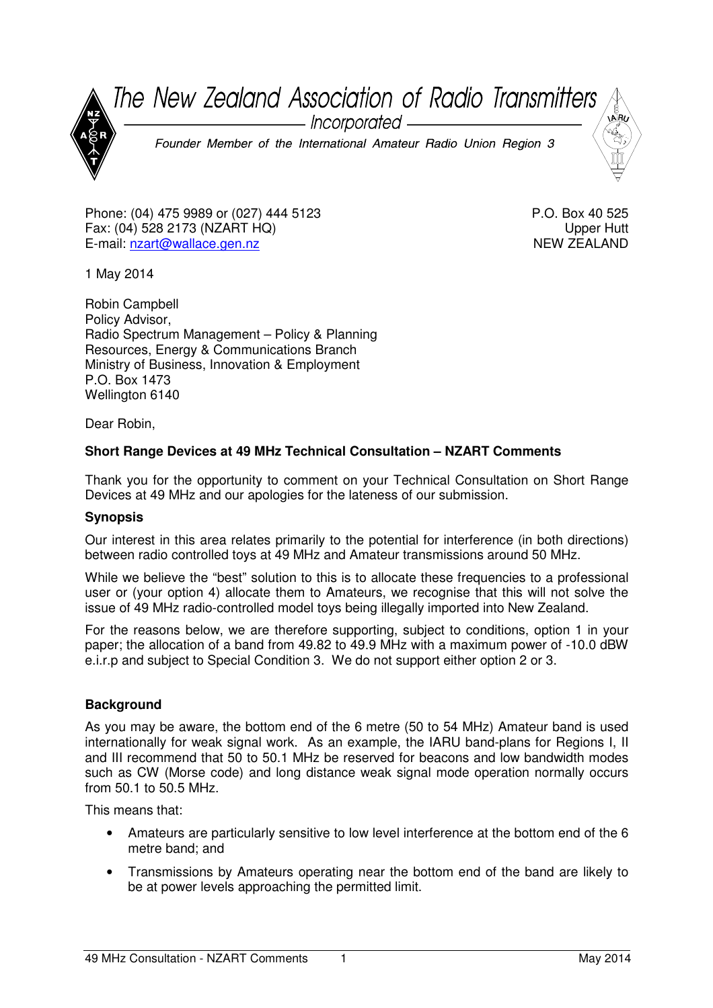The New Zealand Association of Radio Transmitters - Incorporated — Founder Member of the International Amateur Radio Union Region 3

Phone: (04) 475 9989 or (027) 444 5123 Fax: (04) 528 2173 (NZART HQ) E-mail: nzart@wallace.gen.nz

P.O. Box 40 525 Upper Hutt NEW ZEALAND

1 May 2014

Robin Campbell Policy Advisor, Radio Spectrum Management – Policy & Planning Resources, Energy & Communications Branch Ministry of Business, Innovation & Employment P.O. Box 1473 Wellington 6140

Dear Robin,

## **Short Range Devices at 49 MHz Technical Consultation – NZART Comments**

Thank you for the opportunity to comment on your Technical Consultation on Short Range Devices at 49 MHz and our apologies for the lateness of our submission.

## **Synopsis**

Our interest in this area relates primarily to the potential for interference (in both directions) between radio controlled toys at 49 MHz and Amateur transmissions around 50 MHz.

While we believe the "best" solution to this is to allocate these frequencies to a professional user or (your option 4) allocate them to Amateurs, we recognise that this will not solve the issue of 49 MHz radio-controlled model toys being illegally imported into New Zealand.

For the reasons below, we are therefore supporting, subject to conditions, option 1 in your paper; the allocation of a band from 49.82 to 49.9 MHz with a maximum power of -10.0 dBW e.i.r.p and subject to Special Condition 3. We do not support either option 2 or 3.

## **Background**

As you may be aware, the bottom end of the 6 metre (50 to 54 MHz) Amateur band is used internationally for weak signal work. As an example, the IARU band-plans for Regions I, II and III recommend that 50 to 50.1 MHz be reserved for beacons and low bandwidth modes such as CW (Morse code) and long distance weak signal mode operation normally occurs from 50.1 to 50.5 MHz.

This means that:

- Amateurs are particularly sensitive to low level interference at the bottom end of the 6 metre band; and
- Transmissions by Amateurs operating near the bottom end of the band are likely to be at power levels approaching the permitted limit.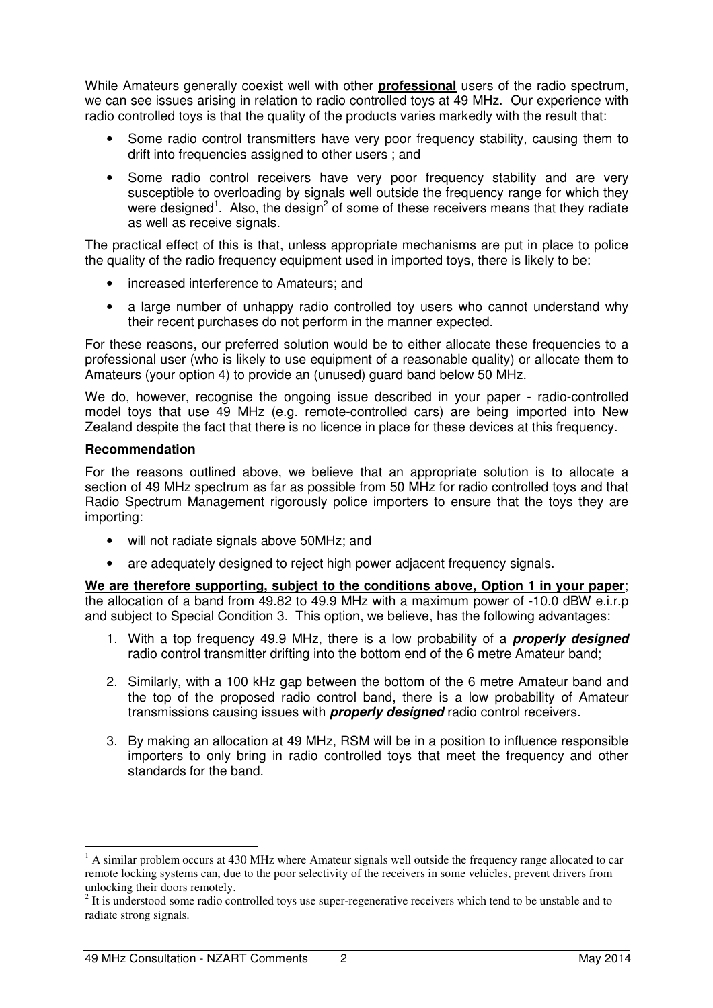While Amateurs generally coexist well with other **professional** users of the radio spectrum, we can see issues arising in relation to radio controlled toys at 49 MHz. Our experience with radio controlled toys is that the quality of the products varies markedly with the result that:

- Some radio control transmitters have very poor frequency stability, causing them to drift into frequencies assigned to other users ; and
- Some radio control receivers have very poor frequency stability and are very susceptible to overloading by signals well outside the frequency range for which they were designed<sup>1</sup>. Also, the design<sup>2</sup> of some of these receivers means that they radiate as well as receive signals.

The practical effect of this is that, unless appropriate mechanisms are put in place to police the quality of the radio frequency equipment used in imported toys, there is likely to be:

- increased interference to Amateurs; and
- a large number of unhappy radio controlled toy users who cannot understand why their recent purchases do not perform in the manner expected.

For these reasons, our preferred solution would be to either allocate these frequencies to a professional user (who is likely to use equipment of a reasonable quality) or allocate them to Amateurs (your option 4) to provide an (unused) guard band below 50 MHz.

We do, however, recognise the ongoing issue described in your paper - radio-controlled model toys that use 49 MHz (e.g. remote-controlled cars) are being imported into New Zealand despite the fact that there is no licence in place for these devices at this frequency.

## **Recommendation**

 $\overline{a}$ 

For the reasons outlined above, we believe that an appropriate solution is to allocate a section of 49 MHz spectrum as far as possible from 50 MHz for radio controlled toys and that Radio Spectrum Management rigorously police importers to ensure that the toys they are importing:

- will not radiate signals above 50MHz; and
- are adequately designed to reject high power adjacent frequency signals.

**We are therefore supporting, subject to the conditions above, Option 1 in your paper**; the allocation of a band from 49.82 to 49.9 MHz with a maximum power of -10.0 dBW e.i.r.p and subject to Special Condition 3. This option, we believe, has the following advantages:

- 1. With a top frequency 49.9 MHz, there is a low probability of a **properly designed** radio control transmitter drifting into the bottom end of the 6 metre Amateur band;
- 2. Similarly, with a 100 kHz gap between the bottom of the 6 metre Amateur band and the top of the proposed radio control band, there is a low probability of Amateur transmissions causing issues with **properly designed** radio control receivers.
- 3. By making an allocation at 49 MHz, RSM will be in a position to influence responsible importers to only bring in radio controlled toys that meet the frequency and other standards for the band.

<sup>&</sup>lt;sup>1</sup> A similar problem occurs at 430 MHz where Amateur signals well outside the frequency range allocated to car remote locking systems can, due to the poor selectivity of the receivers in some vehicles, prevent drivers from unlocking their doors remotely.

 $2<sup>2</sup>$  It is understood some radio controlled toys use super-regenerative receivers which tend to be unstable and to radiate strong signals.